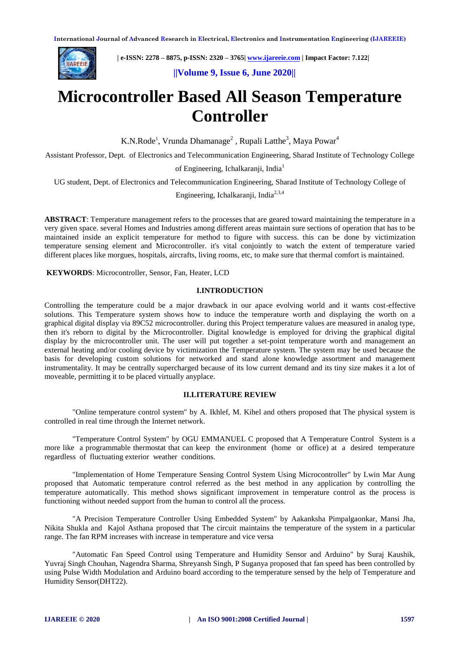

 **| e-ISSN: 2278 – 8875, p-ISSN: 2320 – 3765[| www.ijareeie.com](http://www.ijareeie.com/) | Impact Factor: 7.122|** 

 **||Volume 9, Issue 6, June 2020||** 

# **Microcontroller Based All Season Temperature Controller**

K.N.Rode<sup>1</sup>, Vrunda Dhamanage<sup>2</sup>, Rupali Latthe<sup>3</sup>, Maya Powar<sup>4</sup>

Assistant Professor, Dept. of Electronics and Telecommunication Engineering, Sharad Institute of Technology College

of Engineering, Ichalkaranii, India<sup>1</sup>

UG student, Dept. of Electronics and Telecommunication Engineering, Sharad Institute of Technology College of

Engineering, Ichalkaranji, India2,3,4

**ABSTRACT**: Temperature management refers to the processes that are geared toward maintaining the temperature in a very given space. several Homes and Industries among different areas maintain sure sections of operation that has to be maintained inside an explicit temperature for method to figure with success. this can be done by victimization temperature sensing element and Microcontroller. it's vital conjointly to watch the extent of temperature varied different places like morgues, hospitals, aircrafts, living rooms, etc, to make sure that thermal comfort is maintained.

**KEYWORDS**: Microcontroller, Sensor, Fan, Heater, LCD

# **I.INTRODUCTION**

Controlling the temperature could be a major drawback in our apace evolving world and it wants cost-effective solutions. This Temperature system shows how to induce the temperature worth and displaying the worth on a graphical digital display via 89C52 microcontroller. during this Project temperature values are measured in analog type, then it's reborn to digital by the Microcontroller. Digital knowledge is employed for driving the graphical digital display by the microcontroller unit. The user will put together a set-point temperature worth and management an external heating and/or cooling device by victimization the Temperature system. The system may be used because the basis for developing custom solutions for networked and stand alone knowledge assortment and management instrumentality. It may be centrally supercharged because of its low current demand and its tiny size makes it a lot of moveable, permitting it to be placed virtually anyplace.

# **II.LITERATURE REVIEW**

"Online temperature control system" by A. Ikhlef, M. Kihel and others proposed that The physical system is controlled in real time through the Internet network.

"Temperature Control System" by OGU EMMANUEL C proposed that A Temperature Control System is a more like a programmable thermostat that can keep the environment (home or office) at a desired temperature regardless of fluctuating exterior weather conditions.

"Implementation of Home Temperature Sensing Control System Using Microcontroller" by Lwin Mar Aung proposed that Automatic temperature control referred as the best method in any application by controlling the temperature automatically. This method shows significant improvement in temperature control as the process is functioning without needed support from the human to control all the process.

"A Precision Temperature Controller Using Embedded System" by Aakanksha Pimpalgaonkar, Mansi Jha, Nikita Shukla and Kajol Asthana proposed that The circuit maintains the temperature of the system in a particular range. The fan RPM increases with increase in temperature and vice versa

"Automatic Fan Speed Control using Temperature and Humidity Sensor and Arduino" by Suraj Kaushik, Yuvraj Singh Chouhan, Nagendra Sharma, Shreyansh Singh, P Suganya proposed that fan speed has been controlled by using Pulse Width Modulation and Arduino board according to the temperature sensed by the help of Temperature and Humidity Sensor(DHT22).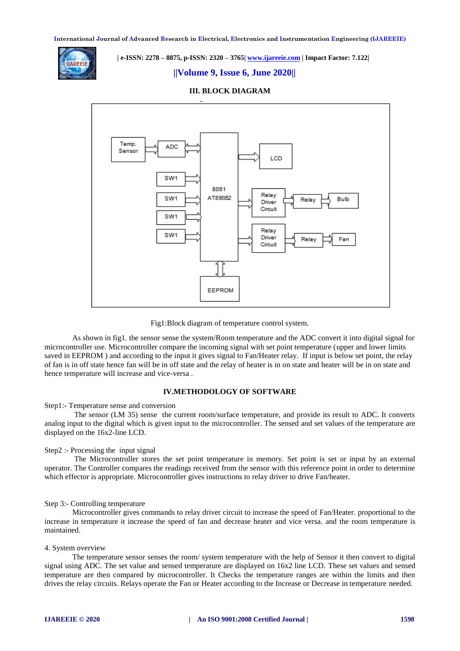**International Journal of Advanced Research in Electrical, Electronics and Instrumentation Engineering (IJAREEIE)** 



 **| e-ISSN: 2278 – 8875, p-ISSN: 2320 – 3765[| www.ijareeie.com](http://www.ijareeie.com/) | Impact Factor: 7.122|** 

# **||Volume 9, Issue 6, June 2020||**



## **III. BLOCK DIAGRAM**

Fig1:Block diagram of temperature control system.

As shown in fig1. the sensor sense the system/Room temperature and the ADC convert it into digital signal for microcontroller use. Microcontroller compare the incoming signal with set point temperature (upper and lower limits saved in EEPROM ) and according to the input it gives signal to Fan/Heater relay. If input is below set point, the relay of fan is in off state hence fan will be in off state and the relay of heater is in on state and heater will be in on state and hence temperature will increase and vice-versa .

#### **IV.METHODOLOGY OF SOFTWARE**

## Step1:- Temperature sense and conversion

The sensor (LM 35) sense the current room/surface temperature, and provide its result to ADC. It converts analog input to the digital which is given input to the microcontroller. The sensed and set values of the temperature are displayed on the 16x2-line LCD.

#### Step2 :- Processing the input signal

The Microcontroller stores the set point temperature in memory. Set point is set or input by an external operator. The Controller compares the readings received from the sensor with this reference point in order to determine which effector is appropriate. Microcontroller gives instructions to relay driver to drive Fan/heater.

## Step 3:- Controlling temperature

Microcontroller gives commands to relay driver circuit to increase the speed of Fan/Heater. proportional to the increase in temperature it increase the speed of fan and decrease heater and vice versa. and the room temperature is maintained.

## 4. System overview

The temperature sensor senses the room/ system temperature with the help of Sensor it then convert to digital signal using ADC. The set value and sensed temperature are displayed on 16x2 line LCD. These set values and sensed temperature are then compared by microcontroller. It Checks the temperature ranges are within the limits and then drives the relay circuits. Relays operate the Fan or Heater according to the Increase or Decrease in temperature needed.